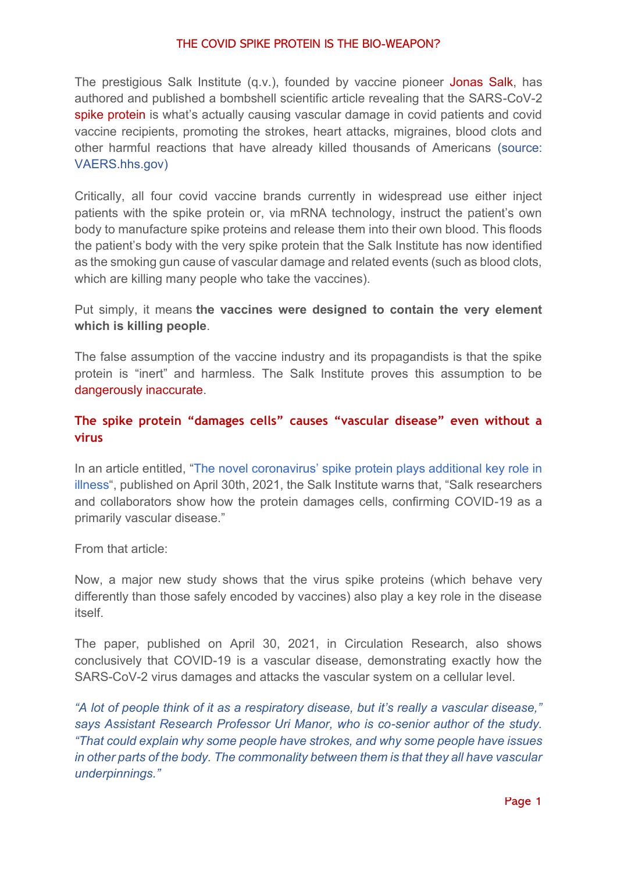## THE COVID SPIKE PROTEIN IS THE BIO-WEAPON?

The prestigious Salk Institute (q.v.), founded by vaccine pioneer Jonas Salk, has authored and published a bombshell scientific article revealing that the SARS-CoV-2 spike protein is what's actually causing vascular damage in covid patients and covid vaccine recipients, promoting the strokes, heart attacks, migraines, blood clots and other harmful reactions that have already killed thousands of Americans (source: VAERS.hhs.gov)

Critically, all four covid vaccine brands currently in widespread use either inject patients with the spike protein or, via mRNA technology, instruct the patient's own body to manufacture spike proteins and release them into their own blood. This floods the patient's body with the very spike protein that the Salk Institute has now identified as the smoking gun cause of vascular damage and related events (such as blood clots, which are killing many people who take the vaccines).

Put simply, it means **the vaccines were designed to contain the very element which is killing people**.

The false assumption of the vaccine industry and its propagandists is that the spike protein is "inert" and harmless. The Salk Institute proves this assumption to be dangerously inaccurate.

## **The spike protein "damages cells" causes "vascular disease" even without a virus**

In an article entitled, ["The novel coronavirus' spike protein plays additional key role in](https://www.salk.edu/news-release/the-novel-coronavirus-spike-protein-plays-additional-key-role-in-illness/)  [illness](https://www.salk.edu/news-release/the-novel-coronavirus-spike-protein-plays-additional-key-role-in-illness/)", published on April 30th, 2021, the Salk Institute warns that, "Salk researchers and collaborators show how the protein damages cells, confirming COVID-19 as a primarily vascular disease."

From that article:

Now, a major new study shows that the virus spike proteins (which behave very differently than those safely encoded by vaccines) also play a key role in the disease itself.

The paper, published on April 30, 2021, in Circulation Research, also shows conclusively that COVID-19 is a vascular disease, demonstrating exactly how the SARS-CoV-2 virus damages and attacks the vascular system on a cellular level.

*"A lot of people think of it as a respiratory disease, but it's really a vascular disease," says Assistant Research Professor Uri Manor, who is co-senior author of the study. "That could explain why some people have strokes, and why some people have issues in other parts of the body. The commonality between them is that they all have vascular underpinnings."*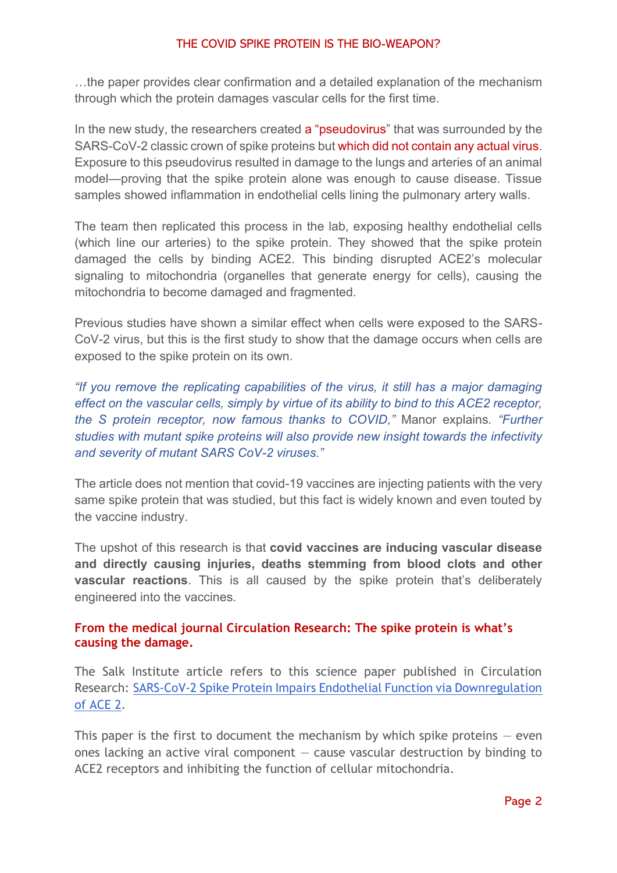## THE COVID SPIKE PROTEIN IS THE BIO-WEAPON?

…the paper provides clear confirmation and a detailed explanation of the mechanism through which the protein damages vascular cells for the first time.

In the new study, the researchers created a "pseudovirus" that was surrounded by the SARS-CoV-2 classic crown of spike proteins but which did not contain any actual virus. Exposure to this pseudovirus resulted in damage to the lungs and arteries of an animal model—proving that the spike protein alone was enough to cause disease. Tissue samples showed inflammation in endothelial cells lining the pulmonary artery walls.

The team then replicated this process in the lab, exposing healthy endothelial cells (which line our arteries) to the spike protein. They showed that the spike protein damaged the cells by binding ACE2. This binding disrupted ACE2's molecular signaling to mitochondria (organelles that generate energy for cells), causing the mitochondria to become damaged and fragmented.

Previous studies have shown a similar effect when cells were exposed to the SARS-CoV-2 virus, but this is the first study to show that the damage occurs when cells are exposed to the spike protein on its own.

*"If you remove the replicating capabilities of the virus, it still has a major damaging effect on the vascular cells, simply by virtue of its ability to bind to this ACE2 receptor, the S protein receptor, now famous thanks to COVID,"* Manor explains*. "Further studies with mutant spike proteins will also provide new insight towards the infectivity and severity of mutant SARS CoV-2 viruses."*

The article does not mention that covid-19 vaccines are injecting patients with the very same spike protein that was studied, but this fact is widely known and even touted by the vaccine industry.

The upshot of this research is that **covid vaccines are inducing vascular disease and directly causing injuries, deaths stemming from blood clots and other vascular reactions**. This is all caused by the spike protein that's deliberately engineered into the vaccines.

## **From the medical journal Circulation Research: The spike protein is what's causing the damage.**

The Salk Institute article refers to this science paper published in Circulation Research: [SARS-CoV-2 Spike Protein Impairs Endothelial Function via Downregulation](https://www.ahajournals.org/doi/10.1161/CIRCRESAHA.121.318902)  [of ACE 2.](https://www.ahajournals.org/doi/10.1161/CIRCRESAHA.121.318902)

This paper is the first to document the mechanism by which spike proteins  $-$  even ones lacking an active viral component — cause vascular destruction by binding to ACE2 receptors and inhibiting the function of cellular mitochondria.